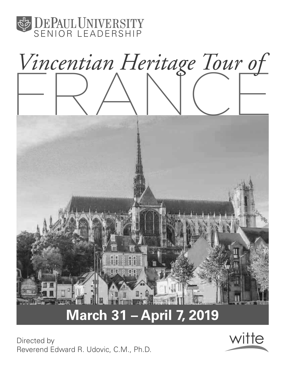



# **March 31 – April 7, 2019**

Directed by Reverend Edward R. Udovic, C.M., Ph.D.

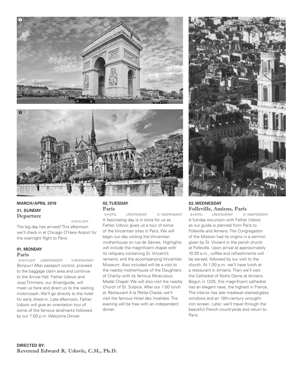





 D-IN-FLIGHT The big day has arrived! This afternoon we'll check in at Chicago O'Hare Airport for the overnight flight to Paris.

#### **01, MONDAY Paris**

 B-IN-FLIGHT L-INDEPENDENT D-RESTAURANT Bonjour! After passport control, proceed to the baggage claim area and continue to the Arrival Hall. Father Udovic and Joop Timmers, our driver/guide, will meet us here and direct us to the waiting motorcoach. We'll go directly to the hotel for early check-in. Late afternoon, Father Udovic will give an orientation tour of some of the famous landmarks followed by our 7:00 p.m. Welcome Dinner.

## **02, TUESDAY Paris**

L-RESTAURANT D- INDEPENDENT A fascinating day is in store for us as Father Udovic gives us a tour of some of the Vincentian sites in Paris. We will begin our day visiting the Vincentian motherhouse on rue de Sèvres. Highlights will include the magnificent chapel with its reliquary containing St. Vincent's remains, and the accompanying Vincentian Museum. Also included will be a visit to the nearby motherhouse of the Daughters of Charity with its famous Miraculous Medal Chapel. We will also visit the nearby Church of St. Sulpice. After our 1:00 lunch at Restaurant A la Petite Chaise, we'll visit the famous Hotel des Invalides. The evening will be free with an independent dinner.



#### **03, WEDNESDAY Folleville, Amiens, Paris**

B-HOTEL L-RESTAURANT D- INDEPENDENT A full-day excursion with Father Udovic as our guide is planned from Paris to Folleville and Amiens. The Congregation of the Mission had its origins in a sermon given by St. Vincent in the parish church at Folleville. Upon arrival at approximately 10:30 a.m., coffee and refreshments will be served, followed by our visit to the church. At 1:00 p.m. we'll have lunch at a restaurant in Amiens. Then we'll visit the Cathedral of Notre Dame at Amiens. Begun in 1220, this magnificent cathedral has an elegant nave, the highest in France. The interior has late medieval stained-glass windows and an 18th-century wroughtiron screen. Later, we'll travel through the beautiful French countryside and return to Paris.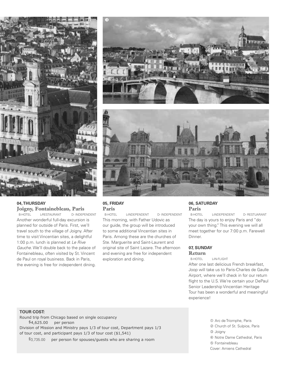

## **04, THURSDAY Joigny, Fontainebleau, Paris**<br>**B-HOTEL** LRESTAURANT D-INDEPI

B-HOTEL L-RESTAURANT D- INDEPENDENT Another wonderful full-day excursion is planned for outside of Paris. First, we'll travel south to the village of Joigny. After time to visit Vincentian sites, a delightful 1:00 p.m. lunch is planned at Le Rive Gauche. We'll double back to the palace of Fontainebleau, often visited by St. Vincent de Paul on royal business. Back in Paris, the evening is free for independent dining.





## **05, FRIDAY Paris**

L-INDEPENDENT D- INDEPENDENT This morning, with Father Udovic as our guide, the group will be introduced to some additional Vincentian sites in Paris. Among these are the churches of Ste. Marguerite and Saint-Laurent and original site of Saint Lazare. The afternoon and evening are free for independent exploration and dining.

## **06, SATURDAY Paris**

L-INDEPENDENT D- RESTUARANT The day is yours to enjoy Paris and "do your own thing." This evening we will all meet together for our 7:00 p.m. Farewell Dinner.

## **07, SUNDAY**

**Return** B-HOTEL L-IN-FLIGHT

After one last delicious French breakfast, Joop will take us to Paris-Charles de Gaulle Airport, where we'll check in for our return flight to the U.S. We're certain your DePaul Senior Leadership Vincentian Heritage Tour has been a wonderful and meaningful experience!

#### **TOUR COST:**

Round trip from Chicago based on single occupancy  $$4,625.00$  per person Division of Mission and Ministry pays 1/3 of tour cost, Department pays 1/3 of tour cost, and participant pays  $1/3$  of tour cost (\$1,541)

 $$3,735.00$  per person for spouses/guests who are sharing a room

 $O$  Arc de Triomphe, Paris d Church of St. Sulpice, Paris **3** Joigny **4** Notre Dame Cathedral, Paris g Fontainebleau Cover: Amiens Cathedral